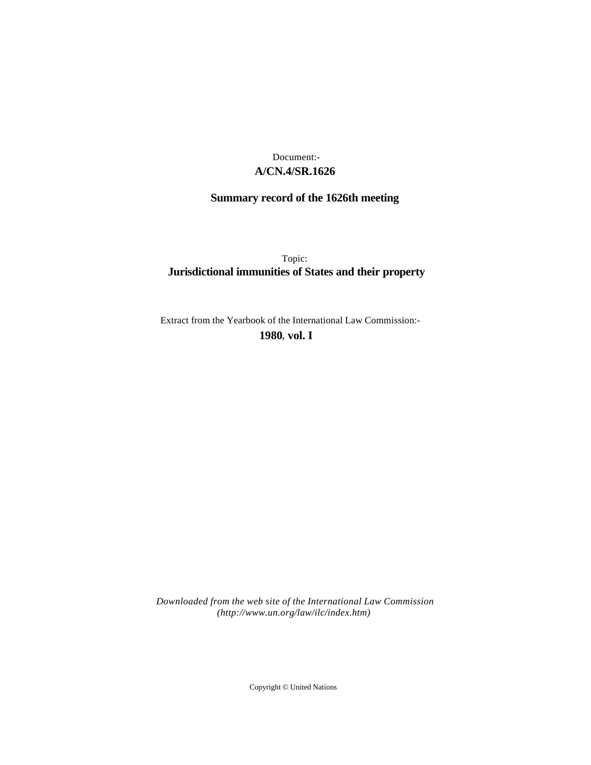# **A/CN.4/SR.1626** Document:-

# **Summary record of the 1626th meeting**

Topic: **Jurisdictional immunities of States and their property**

Extract from the Yearbook of the International Law Commission:-

**1980** , **vol. I**

*Downloaded from the web site of the International Law Commission (http://www.un.org/law/ilc/index.htm)*

Copyright © United Nations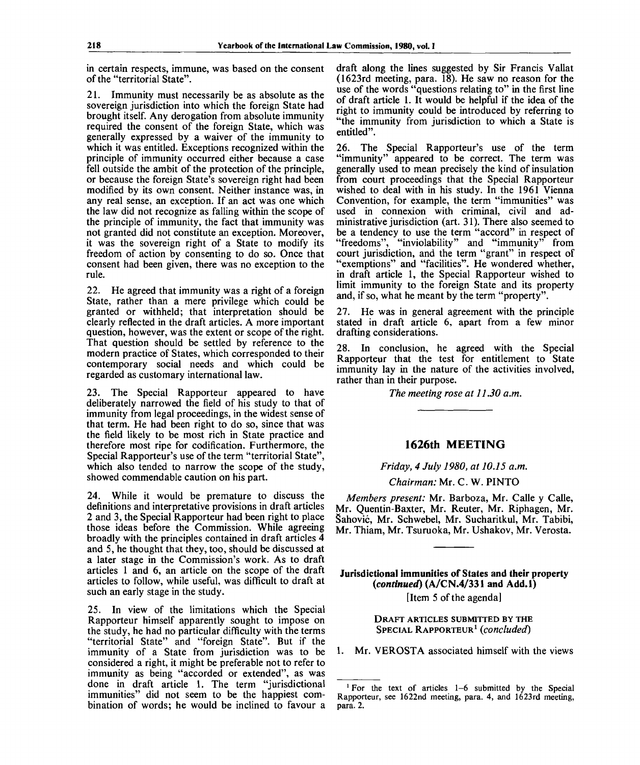in certain respects, immune, was based on the consent of the "territorial State".

21. Immunity must necessarily be as absolute as the sovereign jurisdiction into which the foreign State had brought itself. Any derogation from absolute immunity required the consent of the foreign State, which was generally expressed by a waiver of the immunity to which it was entitled. Exceptions recognized within the principle of immunity occurred either because a case fell outside the ambit of the protection of the principle, or because the foreign State's sovereign right had been modified by its own consent. Neither instance was, in any real sense, an exception. If an act was one which the law did not recognize as falling within the scope of the principle of immunity, the fact that immunity was not granted did not constitute an exception. Moreover, it was the sovereign right of a State to modify its freedom of action by consenting to do so. Once that consent had been given, there was no exception to the rule.

22. He agreed that immunity was a right of a foreign State, rather than a mere privilege which could be granted or withheld; that interpretation should be clearly reflected in the draft articles. A more important question, however, was the extent or scope of the right. That question should be settled by reference to the modern practice of States, which corresponded to their contemporary social needs and which could be regarded as customary international law.

23. The Special Rapporteur appeared to have deliberately narrowed the field of his study to that of immunity from legal proceedings, in the widest sense of that term. He had been right to do so, since that was the field likely to be most rich in State practice and therefore most ripe for codification. Furthermore, the Special Rapporteur's use of the term "territorial State", which also tended to narrow the scope of the study, showed commendable caution on his part.

24. While it would be premature to discuss the definitions and interpretative provisions in draft articles 2 and 3, the Special Rapporteur had been right to place those ideas before the Commission. While agreeing broadly with the principles contained in draft articles 4 and 5, he thought that they, too, should be discussed at a later stage in the Commission's work. As to draft articles 1 and 6, an article on the scope of the draft articles to follow, while useful, was difficult to draft at such an early stage in the study.

25. In view of the limitations which the Special Rapporteur himself apparently sought to impose on the study, he had no particular difficulty with the terms "territorial State" and "foreign State". But if the immunity of a State from jurisdiction was to be considered a right, it might be preferable not to refer to immunity as being "accorded or extended", as was done in draft article 1. The term "jurisdictional immunities" did not seem to be the happiest combination of words; he would be inclined to favour a

draft along the lines suggested by Sir Francis Vallat (1623rd meeting, para. 18). He saw no reason for the use of the words "questions relating to" in the first line of draft article 1. It would be helpful if the idea of the right to immunity could be introduced by referring to "the immunity from jurisdiction to which a State is entitled".

26. The Special Rapporteur's use of the term "immunity" appeared to be correct. The term was generally used to mean precisely the kind of insulation from court proceedings that the Special Rapporteur wished to deal with in his study. In the 1961 Vienna Convention, for example, the term "immunities" was used in connexion with criminal, civil and administrative jurisdiction (art. 31). There also seemed to be a tendency to use the term "accord" in respect of "freedoms", "inviolability" and "immunity" from court jurisdiction, and the term "grant" in respect of "exemptions" and "facilities". He wondered whether, in draft article 1, the Special Rapporteur wished to limit immunity to the foreign State and its property and, if so, what he meant by the term "property".

27. He was in general agreement with the principle stated in draft article 6, apart from a few minor drafting considerations.

28. In conclusion, he agreed with the Special Rapporteur that the test for entitlement to State immunity lay in the nature of the activities involved, rather than in their purpose.

*The meeting rose at 11.30 a.m.*

### **1626th MEETING**

*Friday, 4 July 1980, at 10.15 a.m.*

*Chairman:* Mr. C. W. PINTO

*Members present:* Mr. Barboza, Mr. Calle y Calle, Mr. Quentin-Baxter, Mr. Reuter, Mr. Riphagen, Mr. Sahovic, Mr. Schwebel, Mr. Sucharitkul, Mr. Tabibi, Mr. Thiam, Mr. Tsuruoka, Mr. Ushakov, Mr. Verosta.

Jurisdictional immunities of States and their property *{continued)* (A/CN.4/331 and Add.l)

[Item 5 of the agenda]

DRAFT ARTICLES SUBMITTED BY THE SPECIAL RAPPORTEUR<sup>1</sup>  *{concluded)*

1. Mr. VEROSTA associated himself with the views

<sup>&</sup>lt;sup>1</sup> For the text of articles 1-6 submitted by the Special Rapporteur, see 1622nd meeting, para. 4, and 1623rd meeting, para. 2.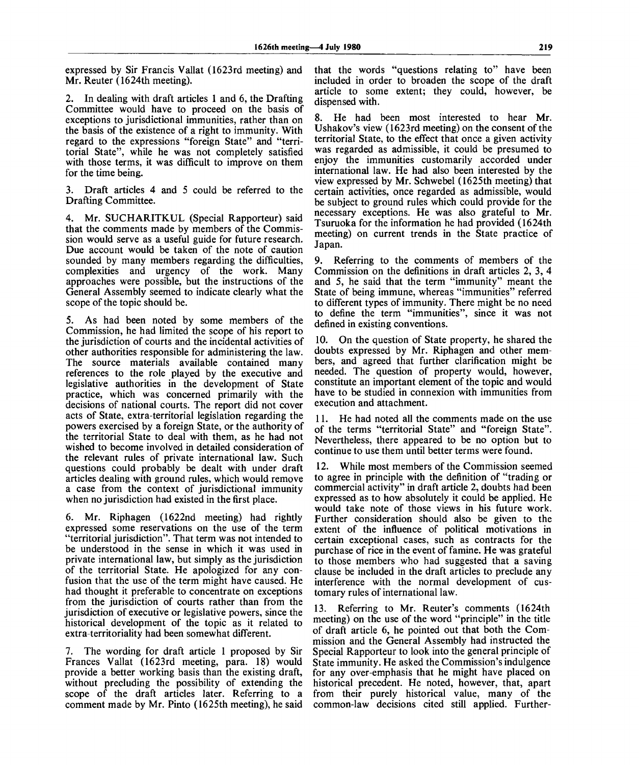expressed by Sir Francis Vallat (1623rd meeting) and Mr. Reuter (1624th meeting).

2. In dealing with draft articles 1 and 6, the Drafting Committee would have to proceed on the basis of exceptions to jurisdictional immunities, rather than on the basis of the existence of a right to immunity. With regard to the expressions "foreign State" and "territorial State", while he was not completely satisfied with those terms, it was difficult to improve on them for the time being.

3. Draft articles 4 and 5 could be referred to the Drafting Committee.

4. Mr. SUCHARITKUL (Special Rapporteur) said that the comments made by members of the Commission would serve as a useful guide for future research. Due account would be taken of the note of caution sounded by many members regarding the difficulties, complexities and urgency of the work. Many approaches were possible, but the instructions of the General Assembly seemed to indicate clearly what the scope of the topic should be.

5. As had been noted by some members of the Commission, he had limited the scope of his report to the jurisdiction of courts and the incidental activities of other authorities responsible for administering the law. The source materials available contained many references to the role played by the executive and legislative authorities in the development of State practice, which was concerned primarily with the decisions of national courts. The report did not cover acts of State, extra-territorial legislation regarding the powers exercised by a foreign State, or the authority of the territorial State to deal with them, as he had not wished to become involved in detailed consideration of the relevant rules of private international law. Such questions could probably be dealt with under draft articles dealing with ground rules, which would remove a case from the context of jurisdictional immunity when no jurisdiction had existed in the first place.

6. Mr. Riphagen (1622nd meeting) had rightly expressed some reservations on the use of the term "territorial jurisdiction". That term was not intended to be understood in the sense in which it was used in private international law, but simply as the jurisdiction of the territorial State. He apologized for any confusion that the use of the term might have caused. He had thought it preferable to concentrate on exceptions from the jurisdiction of courts rather than from the jurisdiction of executive or legislative powers, since the historical development of the topic as it related to extra-territoriality had been somewhat different.

7. The wording for draft article 1 proposed by Sir Frances Vallat (1623rd meeting, para. 18) would provide a better working basis than the existing draft, without precluding the possibility of extending the scope of the draft articles later. Referring to a comment made by Mr. Pinto (1625th meeting), he said

that the words "questions relating to" have been included in order to broaden the scope of the draft article to some extent; they could, however, be dispensed with.

8. He had been most interested to hear Mr. Ushakov's view (1623rd meeting) on the consent of the territorial State, to the effect that once a given activity was regarded as admissible, it could be presumed to enjoy the immunities customarily accorded under international law. He had also been interested by the view expressed by Mr. Schwebel (1625th meeting) that certain activities, once regarded as admissible, would be subject to ground rules which could provide for the necessary exceptions. He was also grateful to Mr. Tsuruoka for the information he had provided (1624th meeting) on current trends in the State practice of Japan.

9. Referring to the comments of members of the Commission on the definitions in draft articles 2, 3, 4 and 5, he said that the term "immunity" meant the State of being immune, whereas "immunities" referred to different types of immunity. There might be no need to define the term "immunities", since it was not defined in existing conventions.

10. On the question of State property, he shared the doubts expressed by Mr. Riphagen and other members, and agreed that further clarification might be needed. The question of property would, however, constitute an important element of the topic and would have to be studied in connexion with immunities from execution and attachment.

11. He had noted all the comments made on the use of the terms "territorial State" and "foreign State". Nevertheless, there appeared to be no option but to continue to use them until better terms were found.

12. While most members of the Commission seemed to agree in principle with the definition of "trading or commercial activity" in draft article 2, doubts had been expressed as to how absolutely it could be applied. He would take note of those views in his future work. Further consideration should also be given to the extent of the influence of political motivations in certain exceptional cases, such as contracts for the purchase of rice in the event of famine. He was grateful to those members who had suggested that a saving clause be included in the draft articles to preclude any interference with the normal development of customary rules of international law.

13. Referring to Mr. Reuter's comments (1624th meeting) on the use of the word "principle" in the title of draft article 6, he pointed out that both the Commission and the General Assembly had instructed the Special Rapporteur to look into the general principle of State immunity. He asked the Commission's indulgence for any over-emphasis that he might have placed on historical precedent. He noted, however, that, apart from their purely historical value, many of the common-law decisions cited still applied. Further